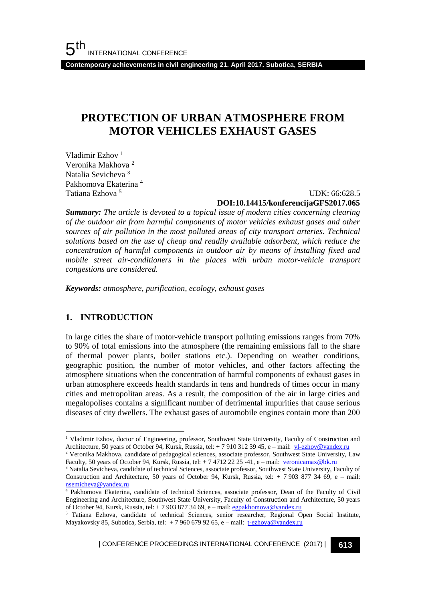**Contemporary achievements in civil engineering 21. April 2017. Subotica, SERBIA**

# **PROTECTION OF URBAN ATMOSPHERE FROM MOTOR VEHICLES EXHAUST GASES**

Vladimir Ezhov<sup>1</sup> Veronika Makhova <sup>2</sup> Natalia Sevicheva <sup>3</sup> Pakhomova Ekaterina <sup>4</sup> Tatiana Ezhova <sup>5</sup>

### UDK: 66:628.5 **DOI:10.14415/konferencijaGFS2017.065**

*Summary: The article is devoted to a topical issue of modern cities concerning clearing of the outdoor air from harmful components of motor vehicles exhaust gases and other sources of air pollution in the most polluted areas of city transport arteries. Technical solutions based on the use of cheap and readily available adsorbent, which reduce the concentration of harmful components in outdoor air by means of installing fixed and mobile street air-conditioners in the places with urban motor-vehicle transport congestions are considered.*

*Keywords: atmosphere, purification, ecology, exhaust gases*

# **1. INTRODUCTION**

l

In large cities the share of motor-vehicle transport polluting emissions ranges from 70% to 90% of total emissions into the atmosphere (the remaining emissions fall to the share of thermal power plants, boiler stations etc.). Depending on weather conditions, geographic position, the number of motor vehicles, and other factors affecting the atmosphere situations when the concentration of harmful components of exhaust gases in urban atmosphere exceeds health standards in tens and hundreds of times occur in many cities and metropolitan areas. As a result, the composition of the air in large cities and megalopolises contains a significant number of detrimental impurities that cause serious diseases of city dwellers. The exhaust gases of automobile engines contain more than 200

| CONFERENCE PROCEEDINGS INTERNATIONAL CONFERENCE (2017) <sup>|</sup>**613**

<sup>&</sup>lt;sup>1</sup> Vladimir Ezhov, doctor of Engineering, professor, Southwest State University, Faculty of Construction and Architecture, 50 years of October 94, Kursk, Russia, tel: + 7 910 312 39 45, e – mail: [vl-ezhov@yandex.ru](mailto:vl-ezhov@yandex.ru)

<sup>2</sup> Veronika Makhova, сandidate of pedagogical sciences, associate professor, Southwest State University, Law Faculty, 50 years of October 94, Kursk, Russia, tel: + 7 4712 22 25 -41, e – mail: [veronicamax@bk.ru](mailto:veronicamax@bk.ru)

<sup>&</sup>lt;sup>3</sup> Natalia Sevicheva, candidate of technical Sciences, associate professor, Southwest State University, Faculty of Construction and Architecture, 50 years of October 94, Kursk, Russia, tel: + 7 903 877 34 69, e – mail: [nsemicheva@yandex.ru](mailto:nsemicheva@yandex.ru)

<sup>&</sup>lt;sup>4</sup> Pakhomova Ekaterina, candidate of technical Sciences, associate professor, Dean of the Faculty of Civil Engineering and Architecture, Southwest State University, Faculty of Construction and Architecture, 50 years of October 94, Kursk, Russia, tel: + 7 903 877 34 69, e – mail[: egpakhomova@yandex.ru](mailto:egpakhomova@yandex.ru)

<sup>&</sup>lt;sup>5</sup> Tatiana Ezhova, candidate of technical Sciences, senior researcher, Regional Open Social Institute, Mayakovsky 85, Subotica, Serbia, tel: + 7 960 679 92 65, e – mail: [t-ezhova@yandex.ru](mailto:t-ezhova@yandex.ru)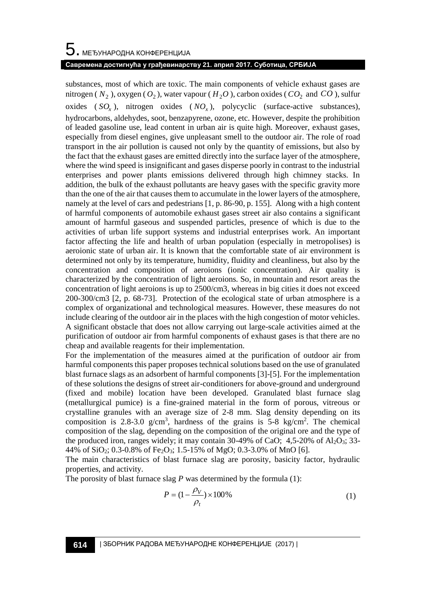substances, most of which are toxic. The main components of vehicle exhaust gases are nitrogen ( $N_2$ ), oxygen ( $O_2$ ), water vapour ( $H_2O$ ), carbon oxides ( $CO_2$ ) and  $CO$ ), sulfur oxides  $(SO_x)$ , nitrogen oxides  $(NO_x)$ , polycyclic (surface-active substances), hydrocarbons, aldehydes, soot, benzapyrene, ozone, etc. However, despite the prohibition of leaded gasoline use, lead content in urban air is quite high. Moreover, exhaust gases, especially from diesel engines, give unpleasant smell to the outdoor air. The role of road transport in the air pollution is caused not only by the quantity of emissions, but also by the fact that the exhaust gases are emitted directly into the surface layer of the atmosphere, where the wind speed is insignificant and gases disperse poorly in contrast to the industrial enterprises and power plants emissions delivered through high chimney stacks. In addition, the bulk of the exhaust pollutants are heavy gases with the specific gravity more than the one of the air that causes them to accumulate in the lower layers of the atmosphere, namely at the level of cars and pedestrians [1, p. 86-90, p. 155]. Along with a high content of harmful components of automobile exhaust gases street air also contains a significant amount of harmful gaseous and suspended particles, presence of which is due to the activities of urban life support systems and industrial enterprises work. An important factor affecting the life and health of urban population (especially in metropolises) is aeroionic state of urban air. It is known that the comfortable state of air environment is determined not only by its temperature, humidity, fluidity and cleanliness, but also by the concentration and composition of aeroions (ionic concentration). Air quality is characterized by the concentration of light aeroions. So, in mountain and resort areas the concentration of light aeroions is up to 2500/cm3, whereas in big cities it does not exceed 200-300/cm3 [2, p. 68-73]. Protection of the ecological state of urban atmosphere is a complex of organizational and technological measures. However, these measures do not include clearing of the outdoor air in the places with the high congestion of motor vehicles. A significant obstacle that does not allow carrying out large-scale activities aimed at the purification of outdoor air from harmful components of exhaust gases is that there are no cheap and available reagents for their implementation.

For the implementation of the measures aimed at the purification of outdoor air from harmful components this paper proposes technical solutions based on the use of granulated blast furnace slags as an adsorbent of harmful components [3]-[5]. For the implementation of these solutions the designs of street air-conditioners for above-ground and underground (fixed and mobile) location have been developed. Granulated blast furnace slag (metallurgical pumice) is a fine-grained material in the form of porous, vitreous or crystalline granules with an average size of 2-8 mm. Slag density depending on its composition is 2.8-3.0  $g/cm<sup>3</sup>$ , hardness of the grains is 5-8 kg/cm<sup>2</sup>. The chemical composition of the slag, depending on the composition of the original ore and the type of the produced iron, ranges widely; it may contain  $30-49\%$  of CaO;  $4,5-20\%$  of Al<sub>2</sub>O<sub>3</sub>; 33-44% of  $SiO_2$ ; 0.3-0.8% of Fe<sub>2</sub>O<sub>3</sub>; 1.5-15% of MgO; 0.3-3.0% of MnO [6].

The main characteristics of blast furnace slag are porosity, basicity factor, hydraulic properties, and activity.

The porosity of blast furnace slag *P* was determined by the formula (1):

$$
P = (1 - \frac{\rho_V}{\rho_t}) \times 100\%
$$
 (1)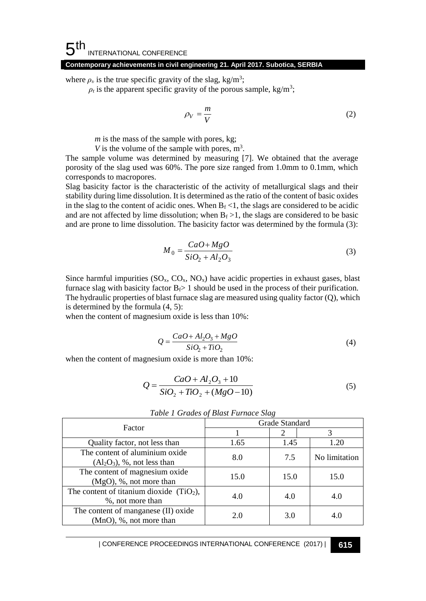### **Contemporary achievements in civil engineering 21. April 2017. Subotica, SERBIA**

where  $\rho_{v}$  is the true specific gravity of the slag, kg/m<sup>3</sup>;

 $\rho_t$  is the apparent specific gravity of the porous sample, kg/m<sup>3</sup>;

$$
\rho_V = \frac{m}{V} \tag{2}
$$

*m* is the mass of the sample with pores, kg;

*V* is the volume of the sample with pores,  $m^3$ .

The sample volume was determined by measuring [7]. We obtained that the average porosity of the slag used was 60%. The pore size ranged from 1.0mm to 0.1mm, which corresponds to macropores.

Slag basicity factor is the characteristic of the activity of metallurgical slags and their stability during lime dissolution. It is determined as the ratio of the content of basic oxides in the slag to the content of acidic ones. When  $B_f < 1$ , the slags are considered to be acidic and are not affected by lime dissolution; when  $B_f > 1$ , the slags are considered to be basic and are prone to lime dissolution. The basicity factor was determined by the formula (3):

$$
M_0 = \frac{CaO + MgO}{SiO_2 + Al_2O_3}
$$
\n<sup>(3)</sup>

Since harmful impurities  $(SO_x, CO_x, NO_x)$  have acidic properties in exhaust gases, blast furnace slag with basicity factor  $B_f > 1$  should be used in the process of their purification. The hydraulic properties of blast furnace slag are measured using quality factor (Q), which is determined by the formula (4, 5):

when the content of magnesium oxide is less than 10%:

$$
Q = \frac{CaO + Al_2O_3 + MgO}{SiO_2 + TiO_2}
$$
\n<sup>(4)</sup>

when the content of magnesium oxide is more than 10%:

$$
Q = \frac{CaO + Al_2O_3 + 10}{SiO_2 + TiO_2 + (MgO - 10)}
$$
\n(5)

| Factor                                                         | Grade Standard |      |               |
|----------------------------------------------------------------|----------------|------|---------------|
|                                                                |                |      |               |
| Quality factor, not less than                                  | 1.65           | 1.45 | 1.20          |
| The content of aluminium oxide<br>$(Al2O3)$ , %, not less than | 8.0            | 7.5  | No limitation |
| The content of magnesium oxide<br>$(MgO)$ , %, not more than   | 15.0           | 15.0 | 15.0          |
| The content of titanium dioxide $(TiO2)$ ,<br>%, not more than | 4.0            | 4.0  | 4.0           |
| The content of manganese (II) oxide<br>(MnO), %, not more than | 2.0            | 3.0  | 4.0           |

*Table 1 Grades of Blast Furnace Slag*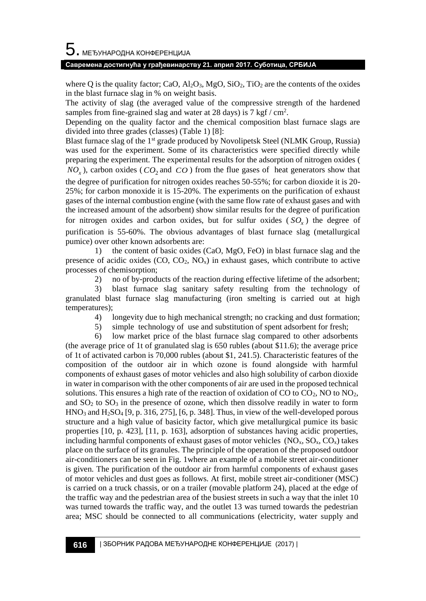### **Савремена достигнућа у грађевинарству 21. април 2017. Суботица, СРБИЈА**

where Q is the quality factor; CaO,  $Al_2O_3$ , MgO, SiO<sub>2</sub>, TiO<sub>2</sub> are the contents of the oxides in the blast furnace slag in % on weight basis.

The activity of slag (the averaged value of the compressive strength of the hardened samples from fine-grained slag and water at 28 days) is  $7 \text{ kgf}/\text{cm}^2$ .

Depending on the quality factor and the chemical composition blast furnace slags are divided into three grades (classes) (Table 1) [8]:

Blast furnace slag of the 1<sup>st</sup> grade produced by Novolipetsk Steel (NLMK Group, Russia) was used for the experiment. Some of its characteristics were specified directly while preparing the experiment. The experimental results for the adsorption of nitrogen oxides (  $NO<sub>x</sub>$ ), carbon oxides ( $CO<sub>2</sub>$  and  $CO$ ) from the flue gases of heat generators show that the degree of purification for nitrogen oxides reaches 50-55%; for carbon dioxide it is 20- 25%; for carbon monoxide it is 15-20%. The experiments on the purification of exhaust gases of the internal combustion engine (with the same flow rate of exhaust gases and with the increased amount of the adsorbent) show similar results for the degree of purification for nitrogen oxides and carbon oxides, but for sulfur oxides ( *SO<sup>x</sup>* ) the degree of purification is 55-60%. The obvious advantages of blast furnace slag (metallurgical pumice) over other known adsorbents are:

1) the content of basic oxides (CaO, MgO, FeO) in blast furnace slag and the presence of acidic oxides  $(CO, CO_2, NO_x)$  in exhaust gases, which contribute to active processes of chemisorption;

2) no of by-products of the reaction during effective lifetime of the adsorbent;

3) blast furnace slag sanitary safety resulting from the technology of granulated blast furnace slag manufacturing (iron smelting is carried out at high temperatures);

4) longevity due to high mechanical strength; no cracking and dust formation;

5) simple technology of use and substitution of spent adsorbent for fresh;

6) low market price of the blast furnace slag compared to other adsorbents (the average price of 1t of granulated slag is 650 rubles (about \$11.6); the average price of 1t of activated carbon is 70,000 rubles (about \$1, 241.5). Characteristic features of the composition of the outdoor air in which ozone is found alongside with harmful components of exhaust gases of motor vehicles and also high solubility of carbon dioxide in water in comparison with the other components of air are used in the proposed technical solutions. This ensures a high rate of the reaction of oxidation of  $CO$  to  $CO<sub>2</sub>$ , NO to  $NO<sub>2</sub>$ , and  $SO<sub>2</sub>$  to  $SO<sub>3</sub>$  in the presence of ozone, which then dissolve readily in water to form  $HNO<sub>3</sub>$  and  $H<sub>2</sub>SO<sub>4</sub>$  [9, p. 316, 275], [6, p. 348]. Thus, in view of the well-developed porous structure and a high value of basicity factor, which give metallurgical pumice its basic properties [10, p. 423], [11, p. 163], adsorption of substances having acidic properties, including harmful components of exhaust gases of motor vehicles  $(NO<sub>x</sub>, SO<sub>x</sub>, CO<sub>x</sub>)$  takes place on the surface of its granules. The principle of the operation of the proposed outdoor air-conditioners can be seen in Fig. 1where an example of a mobile street air-conditioner is given. The purification of the outdoor air from harmful components of exhaust gases of motor vehicles and dust goes as follows. At first, mobile street air-conditioner (MSC) is carried on a truck chassis, or on a trailer (movable platform 24), placed at the edge of the traffic way and the pedestrian area of the busiest streets in such a way that the inlet 10 was turned towards the traffic way, and the outlet 13 was turned towards the pedestrian area; MSC should be connected to all communications (electricity, water supply and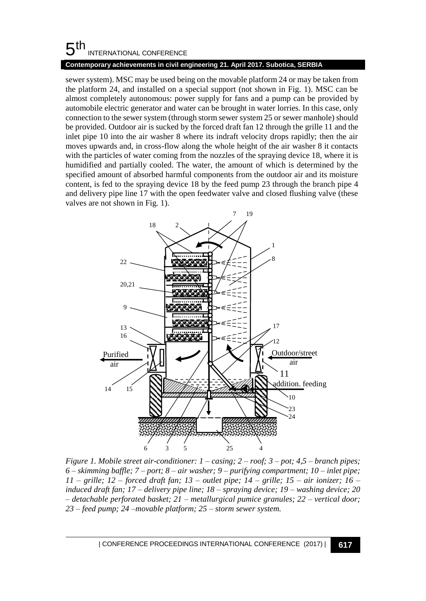### 5 th INTERNATIONAL CONFERENCE

### **Contemporary achievements in civil engineering 21. April 2017. Subotica, SERBIA**

sewer system). MSC may be used being on the movable platform 24 or may be taken from the platform 24, and installed on a special support (not shown in Fig. 1). MSC can be almost completely autonomous: power supply for fans and a pump can be provided by automobile electric generator and water can be brought in water lorries. In this case, only connection to the sewer system (through storm sewer system 25 or sewer manhole) should be provided. Outdoor air is sucked by the forced draft fan 12 through the grille 11 and the inlet pipe 10 into the air washer 8 where its indraft velocity drops rapidly; then the air moves upwards and, in cross-flow along the whole height of the air washer 8 it contacts with the particles of water coming from the nozzles of the spraying device 18, where it is humidified and partially cooled. The water, the amount of which is determined by the specified amount of absorbed harmful components from the outdoor air and its moisture content, is fed to the spraying device 18 by the feed pump 23 through the branch pipe 4 and delivery pipe line 17 with the open feedwater valve and closed flushing valve (these valves are not shown in Fig. 1).



*Figure 1. Mobile street air-conditioner: 1 – casing; 2 – roof; 3 – pot; 4,5 – branch pipes; 6 – skimming baffle; 7 – port; 8 – air washer; 9 – purifying compartment; 10 – inlet pipe; 11 – grille; 12 – forced draft fan; 13 – outlet pipe; 14 – grille; 15 – air ionizer; 16 – induced draft fan; 17 – delivery pipe line; 18 – spraying device; 19 – washing device; 20 – detachable perforated basket; 21 – metallurgical pumice granules; 22 – vertical door; 23 – feed pump; 24 –movable platform; 25 – storm sewer system.*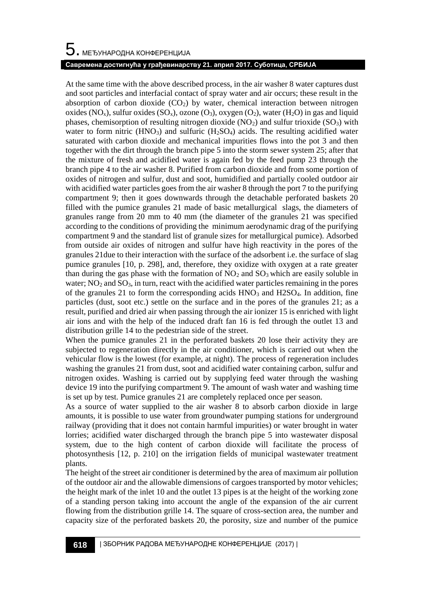# $5$ . међународна конференција

### **Савремена достигнућа у грађевинарству 21. април 2017. Суботица, СРБИЈА**

At the same time with the above described process, in the air washer 8 water captures dust and soot particles and interfacial contact of spray water and air occurs; these result in the absorption of carbon dioxide  $(CO_2)$  by water, chemical interaction between nitrogen oxides (NO<sub>x</sub>), sulfur oxides (SO<sub>x</sub>), ozone (O<sub>3</sub>), oxygen (O<sub>2</sub>), water (H<sub>2</sub>O) in gas and liquid phases, chemisorption of resulting nitrogen dioxide ( $NO<sub>2</sub>$ ) and sulfur trioxide ( $SO<sub>3</sub>$ ) with water to form nitric  $(HNO<sub>3</sub>)$  and sulfuric  $(H<sub>2</sub>SO<sub>4</sub>)$  acids. The resulting acidified water saturated with carbon dioxide and mechanical impurities flows into the pot 3 and then together with the dirt through the branch pipe 5 into the storm sewer system 25; after that the mixture of fresh and acidified water is again fed by the feed pump 23 through the branch pipe 4 to the air washer 8. Purified from carbon dioxide and from some portion of oxides of nitrogen and sulfur, dust and soot, humidified and partially cooled outdoor air with acidified water particles goes from the air washer 8 through the port 7 to the purifying compartment 9; then it goes downwards through the detachable perforated baskets 20 filled with the pumice granules 21 made of basic metallurgical slags, the diameters of granules range from 20 mm to 40 mm (the diameter of the granules 21 was specified according to the conditions of providing the minimum aerodynamic drag of the purifying compartment 9 and the standard list of granule sizes for metallurgical pumice). Adsorbed from outside air oxides of nitrogen and sulfur have high reactivity in the pores of the granules 21due to their interaction with the surface of the adsorbent i.e. the surface of slag pumice granules [10, p. 298], and, therefore, they oxidize with oxygen at a rate greater than during the gas phase with the formation of  $NO<sub>2</sub>$  and  $SO<sub>3</sub>$  which are easily soluble in water;  $NO<sub>2</sub>$  and  $SO<sub>3</sub>$ , in turn, react with the acidified water particles remaining in the pores of the granules 21 to form the corresponding acids  $HNO<sub>3</sub>$  and  $H2SO<sub>4</sub>$ . In addition, fine particles (dust, soot etc.) settle on the surface and in the pores of the granules 21; as a result, purified and dried air when passing through the air ionizer 15 is enriched with light air ions and with the help of the induced draft fan 16 is fed through the outlet 13 and distribution grille 14 to the pedestrian side of the street.

When the pumice granules 21 in the perforated baskets 20 lose their activity they are subjected to regeneration directly in the air conditioner, which is carried out when the vehicular flow is the lowest (for example, at night). The process of regeneration includes washing the granules 21 from dust, soot and acidified water containing carbon, sulfur and nitrogen oxides. Washing is carried out by supplying feed water through the washing device 19 into the purifying compartment 9. The amount of wash water and washing time is set up by test. Pumice granules 21 are completely replaced once per season.

As a source of water supplied to the air washer 8 to absorb carbon dioxide in large amounts, it is possible to use water from groundwater pumping stations for underground railway (providing that it does not contain harmful impurities) or water brought in water lorries; acidified water discharged through the branch pipe 5 into wastewater disposal system, due to the high content of carbon dioxide will facilitate the process of photosynthesis [12, p. 210] on the irrigation fields of municipal wastewater treatment plants.

The height of the street air conditioner is determined by the area of maximum air pollution of the outdoor air and the allowable dimensions of cargoes transported by motor vehicles; the height mark of the inlet 10 and the outlet 13 pipes is at the height of the working zone of a standing person taking into account the angle of the expansion of the air current flowing from the distribution grille 14. The square of cross-section area, the number and capacity size of the perforated baskets 20, the porosity, size and number of the pumice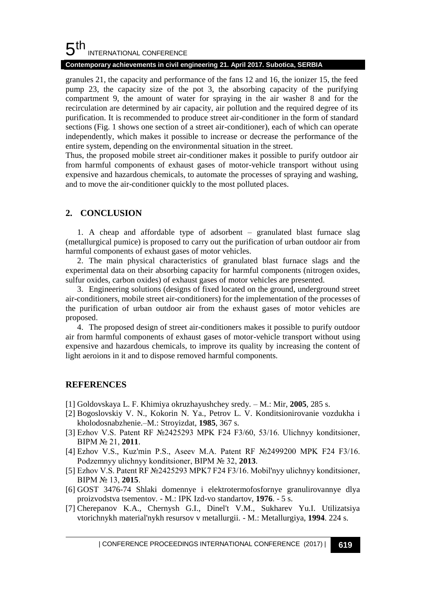#### 5 th INTERNATIONAL CONFERENCE

### **Contemporary achievements in civil engineering 21. April 2017. Subotica, SERBIA**

granules 21, the capacity and performance of the fans 12 and 16, the ionizer 15, the feed pump 23, the capacity size of the pot 3, the absorbing capacity of the purifying compartment 9, the amount of water for spraying in the air washer 8 and for the recirculation are determined by air capacity, air pollution and the required degree of its purification. It is recommended to produce street air-conditioner in the form of standard sections (Fig. 1 shows one section of a street air-conditioner), each of which can operate independently, which makes it possible to increase or decrease the performance of the entire system, depending on the environmental situation in the street.

Thus, the proposed mobile street air-conditioner makes it possible to purify outdoor air from harmful components of exhaust gases of motor-vehicle transport without using expensive and hazardous chemicals, to automate the processes of spraying and washing, and to move the air-conditioner quickly to the most polluted places.

# **2. CONCLUSION**

1. A cheap and affordable type of adsorbent – granulated blast furnace slag (metallurgical pumice) is proposed to carry out the purification of urban outdoor air from harmful components of exhaust gases of motor vehicles.

2. The main physical characteristics of granulated blast furnace slags and the experimental data on their absorbing capacity for harmful components (nitrogen oxides, sulfur oxides, carbon oxides) of exhaust gases of motor vehicles are presented.

3. Engineering solutions (designs of fixed located on the ground, underground street air-conditioners, mobile street air-conditioners) for the implementation of the processes of the purification of urban outdoor air from the exhaust gases of motor vehicles are proposed.

4. The proposed design of street air-conditioners makes it possible to purify outdoor air from harmful components of exhaust gases of motor-vehicle transport without using expensive and hazardous chemicals, to improve its quality by increasing the content of light aeroions in it and to dispose removed harmful components.

# **REFERENCES**

- [1] Goldovskaya L. F. Khimiya okruzhayushchey sredy. M.: Mir, **2005**, 285 s.
- [2] Bogoslovskiy V. N., Kokorin N. Ya., Petrov L. V. Konditsionirovanie vozdukha i kholodosnabzhenie.–M.: Stroyizdat, **1985**, 367 s.
- [3] Ezhov V.S. Patent RF №2425293 MPK F24 F3/60, 53/16. Ulichnyy konditsioner, BIPM № 21, **2011**.
- [4] Ezhov V.S., Kuz'min P.S., Aseev M.A. Patent RF №2499200 MPK F24 F3/16. Podzemnyy ulichnyy konditsioner, BIPM № 32, **2013**.
- [5] Ezhov V.S. Patent RF №2425293 MPK7 F24 F3/16. Mobil'nyy ulichnyy konditsioner, BIPM № 13, **2015**.
- [6] GOST 3476-74 Shlaki domennye i elektrotermofosfornye granulirovannye dlya proizvodstva tsementov. - M.: IPK Izd-vo standartov, **1976**. - 5 s.
- [7] Cherepanov K.A., Chernysh G.I., Dinel't V.M., Sukharev Yu.I. Utilizatsiya vtorichnykh material'nykh resursov v metallurgii. - M.: Metallurgiya, **1994**. 224 s.